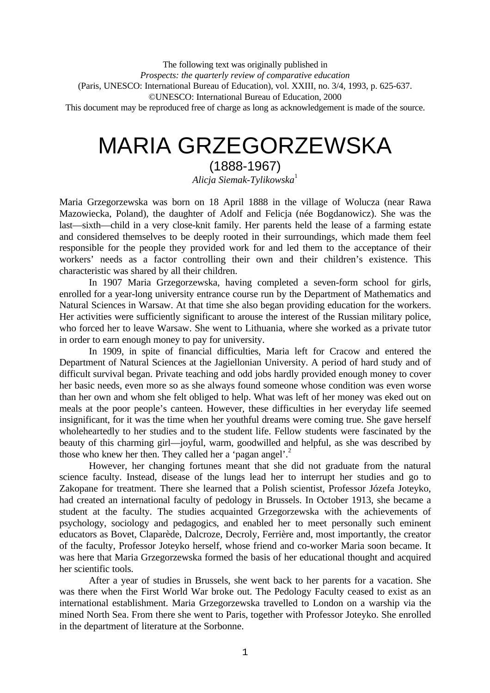The following text was originally published in *Prospects: the quarterly review of comparative education* (Paris, UNESCO: International Bureau of Education), vol. XXIII, no. 3/4, 1993, p. 625-637. ©UNESCO: International Bureau of Education, 2000 This document may be reproduced free of charge as long as acknowledgement is made of the source.

MARIA GRZEGORZEWSKA

# (1888-1967)

*Alicja Siemak-Tylikowska*<sup>1</sup>

Maria Grzegorzewska was born on 18 April 1888 in the village of Wolucza (near Rawa Mazowiecka, Poland), the daughter of Adolf and Felicja (née Bogdanowicz). She was the last—sixth—child in a very close-knit family. Her parents held the lease of a farming estate and considered themselves to be deeply rooted in their surroundings, which made them feel responsible for the people they provided work for and led them to the acceptance of their workers' needs as a factor controlling their own and their children's existence. This characteristic was shared by all their children.

In 1907 Maria Grzegorzewska, having completed a seven-form school for girls, enrolled for a year-long university entrance course run by the Department of Mathematics and Natural Sciences in Warsaw. At that time she also began providing education for the workers. Her activities were sufficiently significant to arouse the interest of the Russian military police, who forced her to leave Warsaw. She went to Lithuania, where she worked as a private tutor in order to earn enough money to pay for university.

In 1909, in spite of financial difficulties, Maria left for Cracow and entered the Department of Natural Sciences at the Jagiellonian University. A period of hard study and of difficult survival began. Private teaching and odd jobs hardly provided enough money to cover her basic needs, even more so as she always found someone whose condition was even worse than her own and whom she felt obliged to help. What was left of her money was eked out on meals at the poor people's canteen. However, these difficulties in her everyday life seemed insignificant, for it was the time when her youthful dreams were coming true. She gave herself wholeheartedly to her studies and to the student life. Fellow students were fascinated by the beauty of this charming girl—joyful, warm, goodwilled and helpful, as she was described by those who knew her then. They called her a 'pagan angel'. 2

However, her changing fortunes meant that she did not graduate from the natural science faculty. Instead, disease of the lungs lead her to interrupt her studies and go to Zakopane for treatment. There she learned that a Polish scientist, Professor Józefa Joteyko, had created an international faculty of pedology in Brussels. In October 1913, she became a student at the faculty. The studies acquainted Grzegorzewska with the achievements of psychology, sociology and pedagogics, and enabled her to meet personally such eminent educators as Bovet, Claparède, Dalcroze, Decroly, Ferrière and, most importantly, the creator of the faculty, Professor Joteyko herself, whose friend and co-worker Maria soon became. It was here that Maria Grzegorzewska formed the basis of her educational thought and acquired her scientific tools.

After a year of studies in Brussels, she went back to her parents for a vacation. She was there when the First World War broke out. The Pedology Faculty ceased to exist as an international establishment. Maria Grzegorzewska travelled to London on a warship via the mined North Sea. From there she went to Paris, together with Professor Joteyko. She enrolled in the department of literature at the Sorbonne.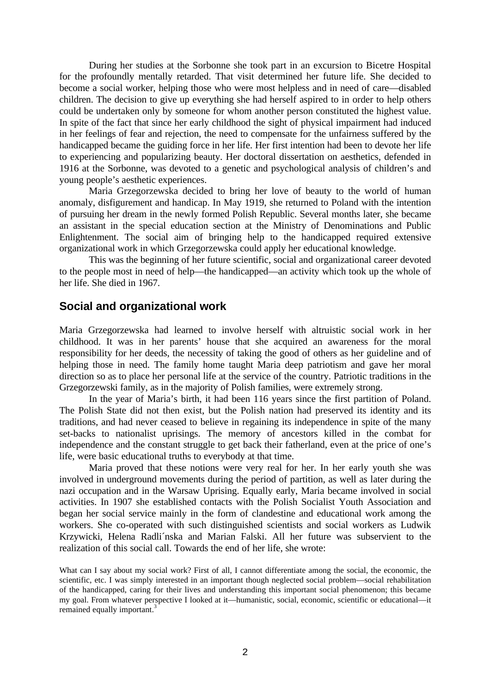During her studies at the Sorbonne she took part in an excursion to Bicetre Hospital for the profoundly mentally retarded. That visit determined her future life. She decided to become a social worker, helping those who were most helpless and in need of care—disabled children. The decision to give up everything she had herself aspired to in order to help others could be undertaken only by someone for whom another person constituted the highest value. In spite of the fact that since her early childhood the sight of physical impairment had induced in her feelings of fear and rejection, the need to compensate for the unfairness suffered by the handicapped became the guiding force in her life. Her first intention had been to devote her life to experiencing and popularizing beauty. Her doctoral dissertation on aesthetics, defended in 1916 at the Sorbonne, was devoted to a genetic and psychological analysis of children's and young people's aesthetic experiences.

Maria Grzegorzewska decided to bring her love of beauty to the world of human anomaly, disfigurement and handicap. In May 1919, she returned to Poland with the intention of pursuing her dream in the newly formed Polish Republic. Several months later, she became an assistant in the special education section at the Ministry of Denominations and Public Enlightenment. The social aim of bringing help to the handicapped required extensive organizational work in which Grzegorzewska could apply her educational knowledge.

This was the beginning of her future scientific, social and organizational career devoted to the people most in need of help—the handicapped—an activity which took up the whole of her life. She died in 1967.

### **Social and organizational work**

Maria Grzegorzewska had learned to involve herself with altruistic social work in her childhood. It was in her parents' house that she acquired an awareness for the moral responsibility for her deeds, the necessity of taking the good of others as her guideline and of helping those in need. The family home taught Maria deep patriotism and gave her moral direction so as to place her personal life at the service of the country. Patriotic traditions in the Grzegorzewski family, as in the majority of Polish families, were extremely strong.

In the year of Maria's birth, it had been 116 years since the first partition of Poland. The Polish State did not then exist, but the Polish nation had preserved its identity and its traditions, and had never ceased to believe in regaining its independence in spite of the many set-backs to nationalist uprisings. The memory of ancestors killed in the combat for independence and the constant struggle to get back their fatherland, even at the price of one's life, were basic educational truths to everybody at that time.

Maria proved that these notions were very real for her. In her early youth she was involved in underground movements during the period of partition, as well as later during the nazi occupation and in the Warsaw Uprising. Equally early, Maria became involved in social activities. In 1907 she established contacts with the Polish Socialist Youth Association and began her social service mainly in the form of clandestine and educational work among the workers. She co-operated with such distinguished scientists and social workers as Ludwik Krzywicki, Helena Radli´nska and Marian Falski. All her future was subservient to the realization of this social call. Towards the end of her life, she wrote:

What can I say about my social work? First of all, I cannot differentiate among the social, the economic, the scientific, etc. I was simply interested in an important though neglected social problem—social rehabilitation of the handicapped, caring for their lives and understanding this important social phenomenon; this became my goal. From whatever perspective I looked at it—humanistic, social, economic, scientific or educational—it remained equally important.<sup>3</sup>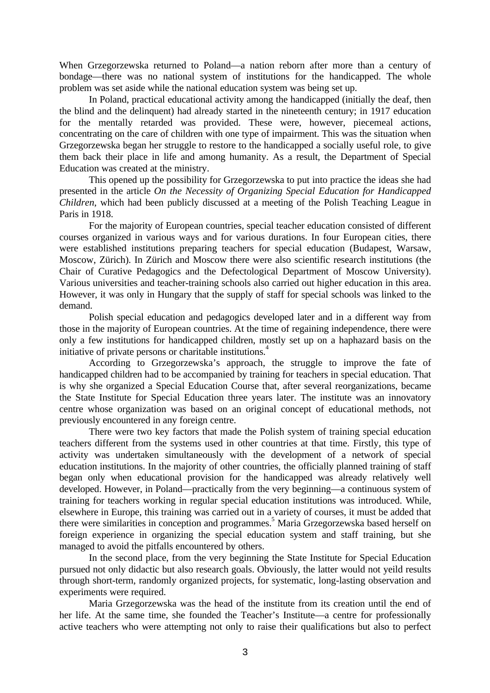When Grzegorzewska returned to Poland—a nation reborn after more than a century of bondage—there was no national system of institutions for the handicapped. The whole problem was set aside while the national education system was being set up.

In Poland, practical educational activity among the handicapped (initially the deaf, then the blind and the delinquent) had already started in the nineteenth century; in 1917 education for the mentally retarded was provided. These were, however, piecemeal actions, concentrating on the care of children with one type of impairment. This was the situation when Grzegorzewska began her struggle to restore to the handicapped a socially useful role, to give them back their place in life and among humanity. As a result, the Department of Special Education was created at the ministry.

This opened up the possibility for Grzegorzewska to put into practice the ideas she had presented in the article *On the Necessity of Organizing Special Education for Handicapped Children*, which had been publicly discussed at a meeting of the Polish Teaching League in Paris in 1918.

For the majority of European countries, special teacher education consisted of different courses organized in various ways and for various durations. In four European cities, there were established institutions preparing teachers for special education (Budapest, Warsaw, Moscow, Zürich). In Zürich and Moscow there were also scientific research institutions (the Chair of Curative Pedagogics and the Defectological Department of Moscow University). Various universities and teacher-training schools also carried out higher education in this area. However, it was only in Hungary that the supply of staff for special schools was linked to the demand.

Polish special education and pedagogics developed later and in a different way from those in the majority of European countries. At the time of regaining independence, there were only a few institutions for handicapped children, mostly set up on a haphazard basis on the initiative of private persons or charitable institutions.<sup>4</sup>

According to Grzegorzewska's approach, the struggle to improve the fate of handicapped children had to be accompanied by training for teachers in special education. That is why she organized a Special Education Course that, after several reorganizations, became the State Institute for Special Education three years later. The institute was an innovatory centre whose organization was based on an original concept of educational methods, not previously encountered in any foreign centre.

There were two key factors that made the Polish system of training special education teachers different from the systems used in other countries at that time. Firstly, this type of activity was undertaken simultaneously with the development of a network of special education institutions. In the majority of other countries, the officially planned training of staff began only when educational provision for the handicapped was already relatively well developed. However, in Poland—practically from the very beginning—a continuous system of training for teachers working in regular special education institutions was introduced. While, elsewhere in Europe, this training was carried out in a variety of courses, it must be added that there were similarities in conception and programmes.<sup>5</sup> Maria Grzegorzewska based herself on foreign experience in organizing the special education system and staff training, but she managed to avoid the pitfalls encountered by others.

In the second place, from the very beginning the State Institute for Special Education pursued not only didactic but also research goals. Obviously, the latter would not yeild results through short-term, randomly organized projects, for systematic, long-lasting observation and experiments were required.

Maria Grzegorzewska was the head of the institute from its creation until the end of her life. At the same time, she founded the Teacher's Institute—a centre for professionally active teachers who were attempting not only to raise their qualifications but also to perfect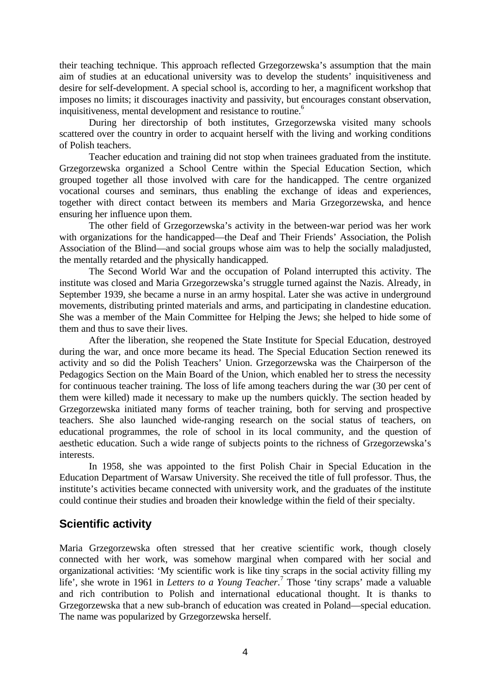their teaching technique. This approach reflected Grzegorzewska's assumption that the main aim of studies at an educational university was to develop the students' inquisitiveness and desire for self-development. A special school is, according to her, a magnificent workshop that imposes no limits; it discourages inactivity and passivity, but encourages constant observation, inquisitiveness, mental development and resistance to routine.<sup>6</sup>

During her directorship of both institutes, Grzegorzewska visited many schools scattered over the country in order to acquaint herself with the living and working conditions of Polish teachers.

Teacher education and training did not stop when trainees graduated from the institute. Grzegorzewska organized a School Centre within the Special Education Section, which grouped together all those involved with care for the handicapped. The centre organized vocational courses and seminars, thus enabling the exchange of ideas and experiences, together with direct contact between its members and Maria Grzegorzewska, and hence ensuring her influence upon them.

The other field of Grzegorzewska's activity in the between-war period was her work with organizations for the handicapped—the Deaf and Their Friends' Association, the Polish Association of the Blind—and social groups whose aim was to help the socially maladjusted, the mentally retarded and the physically handicapped.

The Second World War and the occupation of Poland interrupted this activity. The institute was closed and Maria Grzegorzewska's struggle turned against the Nazis. Already, in September 1939, she became a nurse in an army hospital. Later she was active in underground movements, distributing printed materials and arms, and participating in clandestine education. She was a member of the Main Committee for Helping the Jews; she helped to hide some of them and thus to save their lives.

After the liberation, she reopened the State Institute for Special Education, destroyed during the war, and once more became its head. The Special Education Section renewed its activity and so did the Polish Teachers' Union. Grzegorzewska was the Chairperson of the Pedagogics Section on the Main Board of the Union, which enabled her to stress the necessity for continuous teacher training. The loss of life among teachers during the war (30 per cent of them were killed) made it necessary to make up the numbers quickly. The section headed by Grzegorzewska initiated many forms of teacher training, both for serving and prospective teachers. She also launched wide-ranging research on the social status of teachers, on educational programmes, the role of school in its local community, and the question of aesthetic education. Such a wide range of subjects points to the richness of Grzegorzewska's interests.

In 1958, she was appointed to the first Polish Chair in Special Education in the Education Department of Warsaw University. She received the title of full professor. Thus, the institute's activities became connected with university work, and the graduates of the institute could continue their studies and broaden their knowledge within the field of their specialty.

## **Scientific activity**

Maria Grzegorzewska often stressed that her creative scientific work, though closely connected with her work, was somehow marginal when compared with her social and organizational activities: 'My scientific work is like tiny scraps in the social activity filling my life', she wrote in 1961 in *Letters to a Young Teacher*. 7 Those 'tiny scraps' made a valuable and rich contribution to Polish and international educational thought. It is thanks to Grzegorzewska that a new sub-branch of education was created in Poland—special education. The name was popularized by Grzegorzewska herself.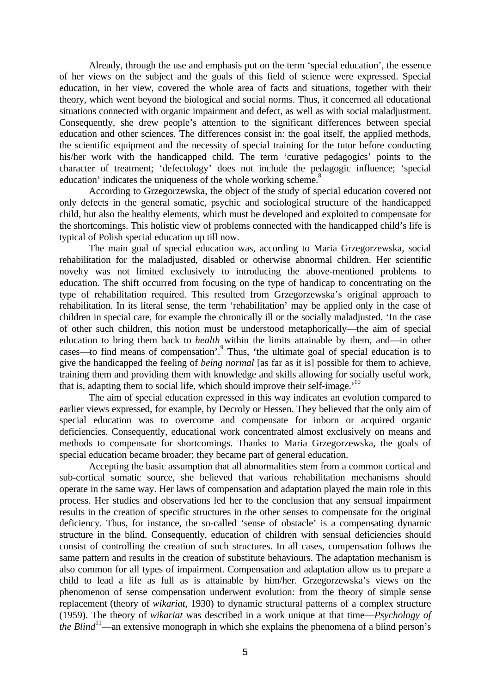Already, through the use and emphasis put on the term 'special education', the essence of her views on the subject and the goals of this field of science were expressed. Special education, in her view, covered the whole area of facts and situations, together with their theory, which went beyond the biological and social norms. Thus, it concerned all educational situations connected with organic impairment and defect, as well as with social maladjustment. Consequently, she drew people's attention to the significant differences between special education and other sciences. The differences consist in: the goal itself, the applied methods, the scientific equipment and the necessity of special training for the tutor before conducting his/her work with the handicapped child. The term 'curative pedagogics' points to the character of treatment; 'defectology' does not include the pedagogic influence; 'special education' indicates the uniqueness of the whole working scheme.<sup>8</sup>

According to Grzegorzewska, the object of the study of special education covered not only defects in the general somatic, psychic and sociological structure of the handicapped child, but also the healthy elements, which must be developed and exploited to compensate for the shortcomings. This holistic view of problems connected with the handicapped child's life is typical of Polish special education up till now.

The main goal of special education was, according to Maria Grzegorzewska, social rehabilitation for the maladjusted, disabled or otherwise abnormal children. Her scientific novelty was not limited exclusively to introducing the above-mentioned problems to education. The shift occurred from focusing on the type of handicap to concentrating on the type of rehabilitation required. This resulted from Grzegorzewska's original approach to rehabilitation. In its literal sense, the term 'rehabilitation' may be applied only in the case of children in special care, for example the chronically ill or the socially maladjusted. 'In the case of other such children, this notion must be understood metaphorically—the aim of special education to bring them back to *health* within the limits attainable by them, and—in other cases—to find means of compensation'. 9 Thus, 'the ultimate goal of special education is to give the handicapped the feeling of *being normal* [as far as it is] possible for them to achieve, training them and providing them with knowledge and skills allowing for socially useful work, that is, adapting them to social life, which should improve their self-image.<sup> $10$ </sup>

The aim of special education expressed in this way indicates an evolution compared to earlier views expressed, for example, by Decroly or Hessen. They believed that the only aim of special education was to overcome and compensate for inborn or acquired organic deficiencies. Consequently, educational work concentrated almost exclusively on means and methods to compensate for shortcomings. Thanks to Maria Grzegorzewska, the goals of special education became broader; they became part of general education.

Accepting the basic assumption that all abnormalities stem from a common cortical and sub-cortical somatic source, she believed that various rehabilitation mechanisms should operate in the same way. Her laws of compensation and adaptation played the main role in this process. Her studies and observations led her to the conclusion that any sensual impairment results in the creation of specific structures in the other senses to compensate for the original deficiency. Thus, for instance, the so-called 'sense of obstacle' is a compensating dynamic structure in the blind. Consequently, education of children with sensual deficiencies should consist of controlling the creation of such structures. In all cases, compensation follows the same pattern and results in the creation of substitute behaviours. The adaptation mechanism is also common for all types of impairment. Compensation and adaptation allow us to prepare a child to lead a life as full as is attainable by him/her. Grzegorzewska's views on the phenomenon of sense compensation underwent evolution: from the theory of simple sense replacement (theory of *wikariat*, 1930) to dynamic structural patterns of a complex structure (1959). The theory of *wikariat* was described in a work unique at that time—*Psychology of the Blind*<sup>11</sup>—an extensive monograph in which she explains the phenomena of a blind person's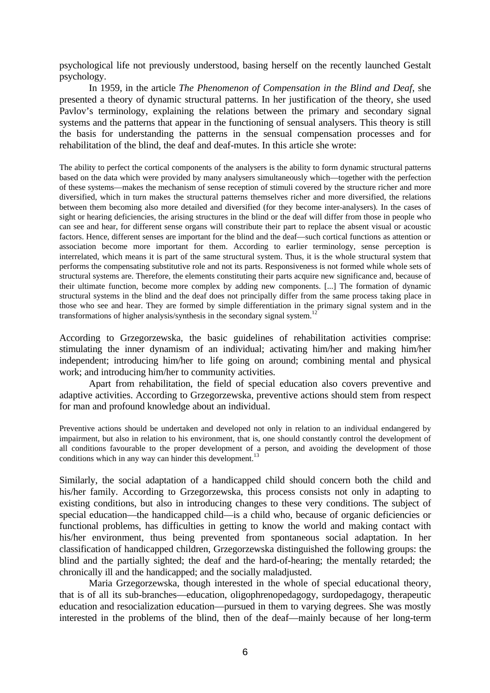psychological life not previously understood, basing herself on the recently launched Gestalt psychology.

In 1959, in the article *The Phenomenon of Compensation in the Blind and Deaf*, she presented a theory of dynamic structural patterns. In her justification of the theory, she used Pavlov's terminology, explaining the relations between the primary and secondary signal systems and the patterns that appear in the functioning of sensual analysers. This theory is still the basis for understanding the patterns in the sensual compensation processes and for rehabilitation of the blind, the deaf and deaf-mutes. In this article she wrote:

The ability to perfect the cortical components of the analysers is the ability to form dynamic structural patterns based on the data which were provided by many analysers simultaneously which—together with the perfection of these systems—makes the mechanism of sense reception of stimuli covered by the structure richer and more diversified, which in turn makes the structural patterns themselves richer and more diversified, the relations between them becoming also more detailed and diversified (for they become inter-analysers). In the cases of sight or hearing deficiencies, the arising structures in the blind or the deaf will differ from those in people who can see and hear, for different sense organs will constribute their part to replace the absent visual or acoustic factors. Hence, different senses are important for the blind and the deaf—such cortical functions as attention or association become more important for them. According to earlier terminology, sense perception is interrelated, which means it is part of the same structural system. Thus, it is the whole structural system that performs the compensating substitutive role and not its parts. Responsiveness is not formed while whole sets of structural systems are. Therefore, the elements constituting their parts acquire new significance and, because of their ultimate function, become more complex by adding new components. [...] The formation of dynamic structural systems in the blind and the deaf does not principally differ from the same process taking place in those who see and hear. They are formed by simple differentiation in the primary signal system and in the transformations of higher analysis/synthesis in the secondary signal system.<sup>1</sup>

According to Grzegorzewska, the basic guidelines of rehabilitation activities comprise: stimulating the inner dynamism of an individual; activating him/her and making him/her independent; introducing him/her to life going on around; combining mental and physical work; and introducing him/her to community activities.

Apart from rehabilitation, the field of special education also covers preventive and adaptive activities. According to Grzegorzewska, preventive actions should stem from respect for man and profound knowledge about an individual.

Preventive actions should be undertaken and developed not only in relation to an individual endangered by impairment, but also in relation to his environment, that is, one should constantly control the development of all conditions favourable to the proper development of a person, and avoiding the development of those conditions which in any way can hinder this development.<sup>13</sup>

Similarly, the social adaptation of a handicapped child should concern both the child and his/her family. According to Grzegorzewska, this process consists not only in adapting to existing conditions, but also in introducing changes to these very conditions. The subject of special education—the handicapped child—is a child who, because of organic deficiencies or functional problems, has difficulties in getting to know the world and making contact with his/her environment, thus being prevented from spontaneous social adaptation. In her classification of handicapped children, Grzegorzewska distinguished the following groups: the blind and the partially sighted; the deaf and the hard-of-hearing; the mentally retarded; the chronically ill and the handicapped; and the socially maladjusted.

Maria Grzegorzewska, though interested in the whole of special educational theory, that is of all its sub-branches—education, oligophrenopedagogy, surdopedagogy, therapeutic education and resocialization education—pursued in them to varying degrees. She was mostly interested in the problems of the blind, then of the deaf—mainly because of her long-term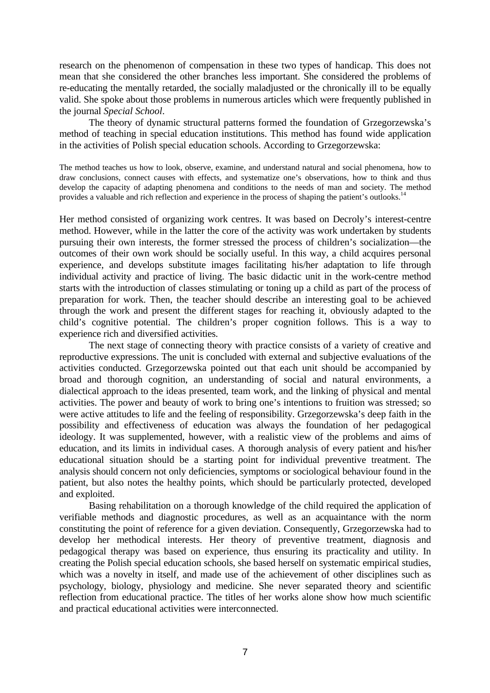research on the phenomenon of compensation in these two types of handicap. This does not mean that she considered the other branches less important. She considered the problems of re-educating the mentally retarded, the socially maladjusted or the chronically ill to be equally valid. She spoke about those problems in numerous articles which were frequently published in the journal *Special School*.

The theory of dynamic structural patterns formed the foundation of Grzegorzewska's method of teaching in special education institutions. This method has found wide application in the activities of Polish special education schools. According to Grzegorzewska:

The method teaches us how to look, observe, examine, and understand natural and social phenomena, how to draw conclusions, connect causes with effects, and systematize one's observations, how to think and thus develop the capacity of adapting phenomena and conditions to the needs of man and society. The method provides a valuable and rich reflection and experience in the process of shaping the patient's outlooks.<sup>14</sup>

Her method consisted of organizing work centres. It was based on Decroly's interest-centre method. However, while in the latter the core of the activity was work undertaken by students pursuing their own interests, the former stressed the process of children's socialization—the outcomes of their own work should be socially useful. In this way, a child acquires personal experience, and develops substitute images facilitating his/her adaptation to life through individual activity and practice of living. The basic didactic unit in the work-centre method starts with the introduction of classes stimulating or toning up a child as part of the process of preparation for work. Then, the teacher should describe an interesting goal to be achieved through the work and present the different stages for reaching it, obviously adapted to the child's cognitive potential. The children's proper cognition follows. This is a way to experience rich and diversified activities.

The next stage of connecting theory with practice consists of a variety of creative and reproductive expressions. The unit is concluded with external and subjective evaluations of the activities conducted. Grzegorzewska pointed out that each unit should be accompanied by broad and thorough cognition, an understanding of social and natural environments, a dialectical approach to the ideas presented, team work, and the linking of physical and mental activities. The power and beauty of work to bring one's intentions to fruition was stressed; so were active attitudes to life and the feeling of responsibility. Grzegorzewska's deep faith in the possibility and effectiveness of education was always the foundation of her pedagogical ideology. It was supplemented, however, with a realistic view of the problems and aims of education, and its limits in individual cases. A thorough analysis of every patient and his/her educational situation should be a starting point for individual preventive treatment. The analysis should concern not only deficiencies, symptoms or sociological behaviour found in the patient, but also notes the healthy points, which should be particularly protected, developed and exploited.

Basing rehabilitation on a thorough knowledge of the child required the application of verifiable methods and diagnostic procedures, as well as an acquaintance with the norm constituting the point of reference for a given deviation. Consequently, Grzegorzewska had to develop her methodical interests. Her theory of preventive treatment, diagnosis and pedagogical therapy was based on experience, thus ensuring its practicality and utility. In creating the Polish special education schools, she based herself on systematic empirical studies, which was a novelty in itself, and made use of the achievement of other disciplines such as psychology, biology, physiology and medicine. She never separated theory and scientific reflection from educational practice. The titles of her works alone show how much scientific and practical educational activities were interconnected.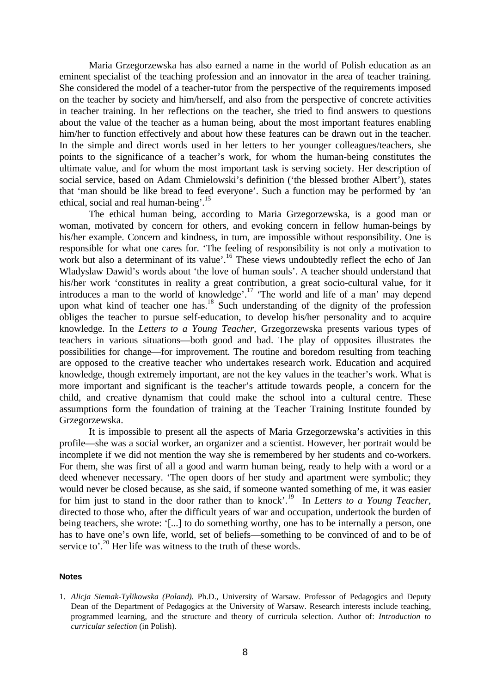Maria Grzegorzewska has also earned a name in the world of Polish education as an eminent specialist of the teaching profession and an innovator in the area of teacher training. She considered the model of a teacher-tutor from the perspective of the requirements imposed on the teacher by society and him/herself, and also from the perspective of concrete activities in teacher training. In her reflections on the teacher, she tried to find answers to questions about the value of the teacher as a human being, about the most important features enabling him/her to function effectively and about how these features can be drawn out in the teacher. In the simple and direct words used in her letters to her younger colleagues/teachers, she points to the significance of a teacher's work, for whom the human-being constitutes the ultimate value, and for whom the most important task is serving society. Her description of social service, based on Adam Chmielowski's definition ('the blessed brother Albert'), states that 'man should be like bread to feed everyone'. Such a function may be performed by 'an ethical, social and real human-being'.<sup>15</sup>

The ethical human being, according to Maria Grzegorzewska, is a good man or woman, motivated by concern for others, and evoking concern in fellow human-beings by his/her example. Concern and kindness, in turn, are impossible without responsibility. One is responsible for what one cares for. 'The feeling of responsibility is not only a motivation to work but also a determinant of its value'.<sup>16</sup> These views undoubtedly reflect the echo of Jan Wladyslaw Dawid's words about 'the love of human souls'. A teacher should understand that his/her work 'constitutes in reality a great contribution, a great socio-cultural value, for it introduces a man to the world of knowledge'. <sup>17</sup> 'The world and life of a man' may depend upon what kind of teacher one has.<sup>18</sup> Such understanding of the dignity of the profession obliges the teacher to pursue self-education, to develop his/her personality and to acquire knowledge. In the *Letters to a Young Teacher*, Grzegorzewska presents various types of teachers in various situations—both good and bad. The play of opposites illustrates the possibilities for change—for improvement. The routine and boredom resulting from teaching are opposed to the creative teacher who undertakes research work. Education and acquired knowledge, though extremely important, are not the key values in the teacher's work. What is more important and significant is the teacher's attitude towards people, a concern for the child, and creative dynamism that could make the school into a cultural centre. These assumptions form the foundation of training at the Teacher Training Institute founded by Grzegorzewska.

It is impossible to present all the aspects of Maria Grzegorzewska's activities in this profile—she was a social worker, an organizer and a scientist. However, her portrait would be incomplete if we did not mention the way she is remembered by her students and co-workers. For them, she was first of all a good and warm human being, ready to help with a word or a deed whenever necessary. 'The open doors of her study and apartment were symbolic; they would never be closed because, as she said, if someone wanted something of me, it was easier for him just to stand in the door rather than to knock<sup>', 19</sup> In *Letters to a Young Teacher*, directed to those who, after the difficult years of war and occupation, undertook the burden of being teachers, she wrote: '[...] to do something worthy, one has to be internally a person, one has to have one's own life, world, set of beliefs—something to be convinced of and to be of service to'.<sup>20</sup> Her life was witness to the truth of these words.

#### **Notes**

<sup>1.</sup> *Alicja Siemak-Tylikowska (Poland).* Ph.D., University of Warsaw. Professor of Pedagogics and Deputy Dean of the Department of Pedagogics at the University of Warsaw. Research interests include teaching, programmed learning, and the structure and theory of curricula selection. Author of: *Introduction to curricular selection* (in Polish).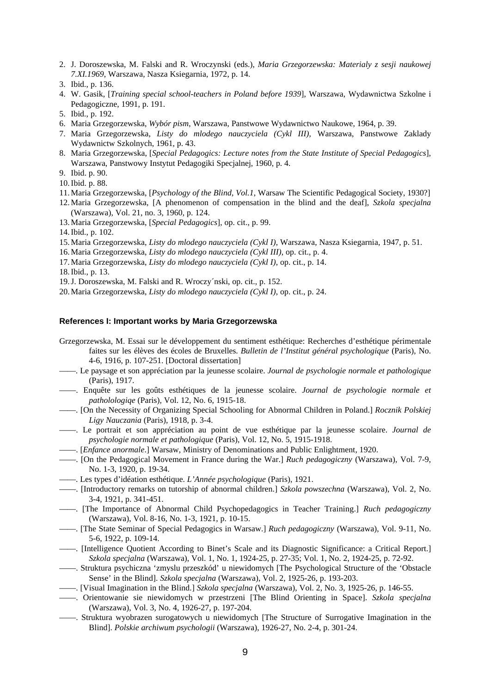2. J. Doroszewska, M. Falski and R. Wroczynski (eds.), *Maria Grzegorzewska: Materialy z sesji naukowej 7.XI.1969*, Warszawa, Nasza Ksiegarnia, 1972, p. 14.

- 4. W. Gasik, [*Training special school-teachers in Poland before 1939*], Warszawa, Wydawnictwa Szkolne i Pedagogiczne, 1991, p. 191.
- 5. Ibid., p. 192.
- 6. Maria Grzegorzewska, *Wybór pism*, Warszawa, Panstwowe Wydawnictwo Naukowe, 1964, p. 39.
- 7. Maria Grzegorzewska, *Listy do mlodego nauczyciela (Cykl III)*, Warszawa, Panstwowe Zaklady Wydawnictw Szkolnych, 1961, p. 43.
- 8. Maria Grzegorzewska, [*Special Pedagogics: Lecture notes from the State Institute of Special Pedagogics*], Warszawa, Panstwowy Instytut Pedagogiki Specjalnej, 1960, p. 4.
- 9. Ibid. p. 90.
- 10.Ibid. p. 88.
- 11.Maria Grzegorzewska, [*Psychology of the Blind, Vol.1*, Warsaw The Scientific Pedagogical Society, 1930?]
- 12.Maria Grzegorzewska, [A phenomenon of compensation in the blind and the deaf], *Szkola specjalna* (Warszawa), Vol. 21, no. 3, 1960, p. 124.
- 13.Maria Grzegorzewska, [*Special Pedagogics*], op. cit., p. 99.
- 14.Ibid., p. 102.
- 15.Maria Grzegorzewska, *Listy do mlodego nauczyciela (Cykl I)*, Warszawa, Nasza Ksiegarnia, 1947, p. 51.
- 16.Maria Grzegorzewska, *Listy do mlodego nauczyciela (Cykl III)*, op. cit., p. 4.
- 17.Maria Grzegorzewska, *Listy do mlodego nauczyciela (Cykl I)*, op. cit., p. 14.
- 18.Ibid., p. 13.
- 19.J. Doroszewska, M. Falski and R. Wroczy´nski, op. cit., p. 152.
- 20.Maria Grzegorzewska, *Listy do mlodego nauczyciela (Cykl I)*, op. cit., p. 24.

#### **References I: Important works by Maria Grzegorzewska**

- Grzegorzewska, M. Essai sur le développement du sentiment esthétique: Recherches d'esthétique périmentale faites sur les élèves des écoles de Bruxelles. *Bulletin de l'Institut général psychologique* (Paris), No. 4-6, 1916, p. 107-251. [Doctoral dissertation]
- ——. Le paysage et son appréciation par la jeunesse scolaire. *Journal de psychologie normale et pathologique* (Paris), 1917.
- ——. Enquête sur les goûts esthétiques de la jeunesse scolaire. *Journal de psychologie normale et patholologiqe* (Paris), Vol. 12, No. 6, 1915-18.
- ——. [On the Necessity of Organizing Special Schooling for Abnormal Children in Poland.] *Rocznik Polskiej Ligy Nauczania* (Paris), 1918, p. 3-4.
- ——. Le portrait et son appréciation au point de vue esthétique par la jeunesse scolaire. *Journal de psychologie normale et pathologique* (Paris), Vol. 12, No. 5, 1915-1918.
- ——. [*Enfance anormale*.] Warsaw, Ministry of Denominations and Public Enlightment, 1920.
- ——. [On the Pedagogical Movement in France during the War.] *Ruch pedagogiczny* (Warszawa), Vol. 7-9, No. 1-3, 1920, p. 19-34.
- ——. Les types d'idéation esthétique. *L'Année psychologique* (Paris), 1921.
- ——. [Introductory remarks on tutorship of abnormal children.] *Szkola powszechna* (Warszawa), Vol. 2, No. 3-4, 1921, p. 341-451.
- ——. [The Importance of Abnormal Child Psychopedagogics in Teacher Training.] *Ruch pedagogiczny* (Warszawa), Vol. 8-16, No. 1-3, 1921, p. 10-15.
- ——. [The State Seminar of Special Pedagogics in Warsaw.] *Ruch pedagogiczny* (Warszawa), Vol. 9-11, No. 5-6, 1922, p. 109-14.
- ——. [Intelligence Quotient According to Binet's Scale and its Diagnostic Significance: a Critical Report.] *Szkola specjalna* (Warszawa), Vol. 1, No. 1, 1924-25, p. 27-35; Vol. 1, No. 2, 1924-25, p. 72-92.
- ——. Struktura psychiczna 'zmyslu przeszkód' u niewidomych [The Psychological Structure of the 'Obstacle Sense' in the Blind]. *Szkola specjalna* (Warszawa), Vol. 2, 1925-26, p. 193-203.
- ——. [Visual Imagination in the Blind.] *Szkola specjalna* (Warszawa), Vol. 2, No. 3, 1925-26, p. 146-55.
- ——. Orientowanie sie niewidomych w przestrzeni [The Blind Orienting in Space]. *Szkola specjalna* (Warszawa), Vol. 3, No. 4, 1926-27, p. 197-204.
- ——. Struktura wyobrazen surogatowych u niewidomych [The Structure of Surrogative Imagination in the Blind]. *Polskie archiwum psychologii* (Warszawa), 1926-27, No. 2-4, p. 301-24.

<sup>3.</sup> Ibid., p. 136.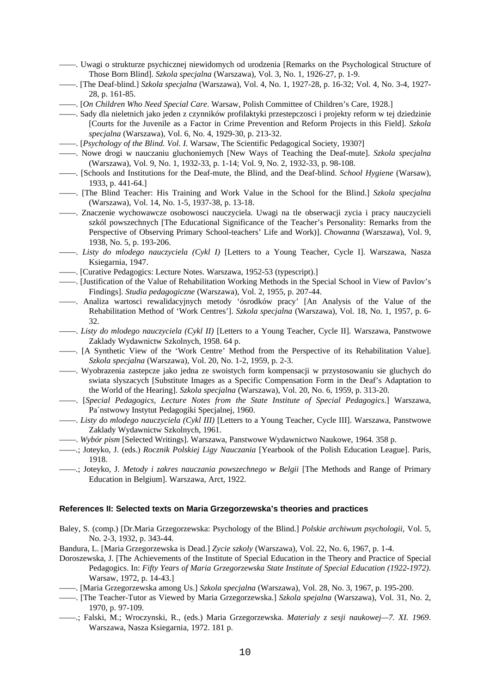- ——. Uwagi o strukturze psychicznej niewidomych od urodzenia [Remarks on the Psychological Structure of Those Born Blind]. *Szkola specjalna* (Warszawa), Vol. 3, No. 1, 1926-27, p. 1-9.
- ——. [The Deaf-blind.] *Szkola specjalna* (Warszawa), Vol. 4, No. 1, 1927-28, p. 16-32; Vol. 4, No. 3-4, 1927- 28, p. 161-85.
- ——. [*On Children Who Need Special Care*. Warsaw, Polish Committee of Children's Care, 1928.]
- ——. Sady dla nieletnich jako jeden z czynników profilaktyki przestepczosci i projekty reform w tej dziedzinie [Courts for the Juvenile as a Factor in Crime Prevention and Reform Projects in this Field]. *Szkola specjalna* (Warszawa), Vol. 6, No. 4, 1929-30, p. 213-32.
- ——. [*Psychology of the Blind. Vol. I.* Warsaw, The Scientific Pedagogical Society, 1930?]
- ——. Nowe drogi w nauczaniu gluchoniemych [New Ways of Teaching the Deaf-mute]. *Szkola specjalna* (Warszawa), Vol. 9, No. 1, 1932-33, p. 1-14; Vol. 9, No. 2, 1932-33, p. 98-108.
- ——. [Schools and Institutions for the Deaf-mute, the Blind, and the Deaf-blind. *School Hygiene* (Warsaw), 1933, p. 441-64.]
- ——. [The Blind Teacher: His Training and Work Value in the School for the Blind.] *Szkola specjalna* (Warszawa), Vol. 14, No. 1-5, 1937-38, p. 13-18.
- ——. Znaczenie wychowawcze osobowosci nauczyciela. Uwagi na tle obserwacji zycia i pracy nauczycieli szkól powszechnych [The Educational Significance of the Teacher's Personality: Remarks from the Perspective of Observing Primary School-teachers' Life and Work)]. *Chowanna* (Warszawa), Vol. 9, 1938, No. 5, p. 193-206.
- ——. *Listy do mlodego nauczyciela (Cykl I)* [Letters to a Young Teacher, Cycle I]. Warszawa, Nasza Ksiegarnia, 1947.
- ——. [Curative Pedagogics: Lecture Notes. Warszawa, 1952-53 (typescript).]
- ——. [Justification of the Value of Rehabilitation Working Methods in the Special School in View of Pavlov's Findings]. *Studia pedagogiczne* (Warszawa), Vol. 2, 1955, p. 207-44.
- ——. Analiza wartosci rewalidacyjnych metody 'ósrodków pracy' [An Analysis of the Value of the Rehabilitation Method of 'Work Centres']. *Szkola specjalna* (Warszawa), Vol. 18, No. 1, 1957, p. 6- 32.
- ——. *Listy do mlodego nauczyciela (Cykl II)* [Letters to a Young Teacher, Cycle II]. Warszawa, Panstwowe Zaklady Wydawnictw Szkolnych, 1958. 64 p.
- -. [A Synthetic View of the 'Work Centre' Method from the Perspective of its Rehabilitation Value]. *Szkola specjalna* (Warszawa), Vol. 20, No. 1-2, 1959, p. 2-3.
- ——. Wyobrazenia zastepcze jako jedna ze swoistych form kompensacji w przystosowaniu sie gluchych do swiata slyszacych [Substitute Images as a Specific Compensation Form in the Deaf's Adaptation to the World of the Hearing]. *Szkola specjalna* (Warszawa), Vol. 20, No. 6, 1959, p. 313-20.
- ——. [*Special Pedagogics, Lecture Notes from the State Institute of Special Pedagogics*.] Warszawa, Pa´nstwowy Instytut Pedagogiki Specjalnej, 1960.
- ——. *Listy do mlodego nauczyciela (Cykl III)* [Letters to a Young Teacher, Cycle III]. Warszawa, Panstwowe Zaklady Wydawnictw Szkolnych, 1961.
- ——. *Wybór pism* [Selected Writings]. Warszawa, Panstwowe Wydawnictwo Naukowe, 1964. 358 p.
- ——.; Joteyko, J. (eds.) *Rocznik Polskiej Ligy Nauczania* [Yearbook of the Polish Education League]. Paris, 1918.
- ——.; Joteyko, J. *Metody i zakres nauczania powszechnego w Belgii* [The Methods and Range of Primary Education in Belgium]. Warszawa, Arct, 1922.

#### **References II: Selected texts on Maria Grzegorzewska's theories and practices**

- Baley, S. (comp.) [Dr.Maria Grzegorzewska: Psychology of the Blind.] *Polskie archiwum psychologii*, Vol. 5, No. 2-3, 1932, p. 343-44.
- Bandura, L. [Maria Grzegorzewska is Dead.] *Zycie szkoly* (Warszawa), Vol. 22, No. 6, 1967, p. 1-4.
- Doroszewska, J. [The Achievements of the Institute of Special Education in the Theory and Practice of Special Pedagogics. In: *Fifty Years of Maria Grzegorzewska State Institute of Special Education (1922-1972)*. Warsaw, 1972, p. 14-43.]
- ——. [Maria Grzegorzewska among Us.] *Szkola specjalna* (Warszawa), Vol. 28, No. 3, 1967, p. 195-200.
- ——. [The Teacher-Tutor as Viewed by Maria Grzegorzewska.] *Szkola spejalna* (Warszawa), Vol. 31, No. 2, 1970, p. 97-109.
- ——.; Falski, M.; Wroczynski, R., (eds.) Maria Grzegorzewska. *Materialy z sesji naukowej—7. XI. 1969*. Warszawa, Nasza Ksiegarnia, 1972. 181 p.